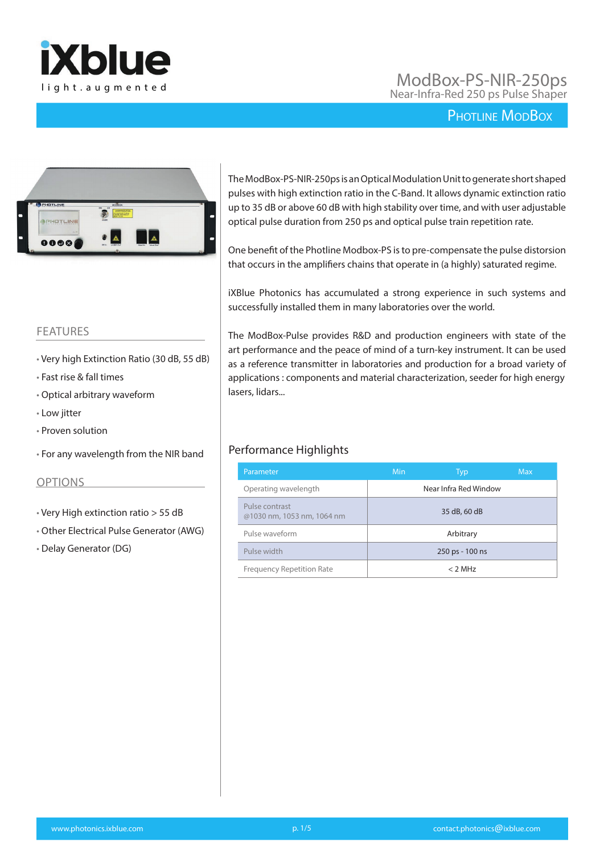

## ModBox-PS-NIR-250ps I ight.augmented in the state of the Near-Infra-Red 250 ps Pulse Shaper light.augmented in the Near-Infra-Red 250 ps Pulse Shaper

## PHOTLINE MODBOX



#### The ModBox-PS-NIR-250ps is an Optical Modulation Unit to generate short shaped pulses with high extinction ratio in the C-Band. It allows dynamic extinction ratio up to 35 dB or above 60 dB with high stability over time, and with user adjustable optical pulse duration from 250 ps and optical pulse train repetition rate.

One benefit of the Photline Modbox-PS is to pre-compensate the pulse distorsion that occurs in the amplifiers chains that operate in (a highly) saturated regime.

iXBlue Photonics has accumulated a strong experience in such systems and successfully installed them in many laboratories over the world.

The ModBox-Pulse provides R&D and production engineers with state of the art performance and the peace of mind of a turn-key instrument. It can be used as a reference transmitter in laboratories and production for a broad variety of applications : components and material characterization, seeder for high energy lasers, lidars...

### Performance Highlights

| Parameter                                    | <b>Min</b> | Typ                   | <b>Max</b> |
|----------------------------------------------|------------|-----------------------|------------|
| Operating wavelength                         |            | Near Infra Red Window |            |
| Pulse contrast<br>@1030 nm, 1053 nm, 1064 nm |            | 35 dB, 60 dB          |            |
| Pulse waveform                               |            | Arbitrary             |            |
| Pulse width                                  |            | 250 ps - 100 ns       |            |
| <b>Frequency Repetition Rate</b>             |            | $< 2$ MHz             |            |

#### FEATURES

- Very high Extinction Ratio (30 dB, 55 dB)
- Fast rise & fall times
- Optical arbitrary waveform
- Low jitter
- Proven solution
- For any wavelength from the NIR band

#### OPTIONS

- Very High extinction ratio > 55 dB
- Other Electrical Pulse Generator (AWG)
- Delay Generator (DG)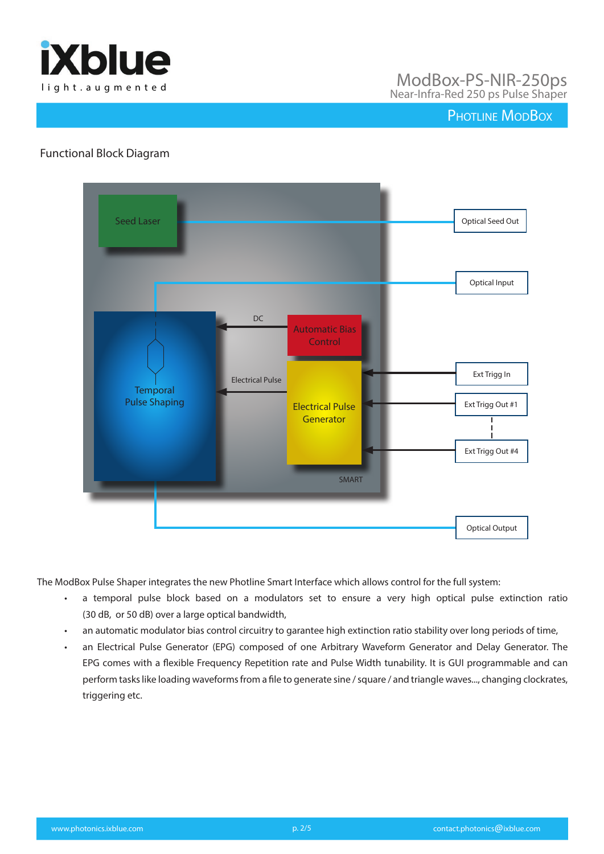

# light.augmented ModBox-PS-NIR-250ps Near-Infra-Red 250 ps Pulse Shaper

## PHOTLINE MODBOX

### Functional Block Diagram



The ModBox Pulse Shaper integrates the new Photline Smart Interface which allows control for the full system:

- a temporal pulse block based on a modulators set to ensure a very high optical pulse extinction ratio (30 dB, or 50 dB) over a large optical bandwidth,
- an automatic modulator bias control circuitry to garantee high extinction ratio stability over long periods of time,
- an Electrical Pulse Generator (EPG) composed of one Arbitrary Waveform Generator and Delay Generator. The EPG comes with a flexible Frequency Repetition rate and Pulse Width tunability. It is GUI programmable and can perform tasks like loading waveforms from a file to generate sine / square / and triangle waves..., changing clockrates, triggering etc.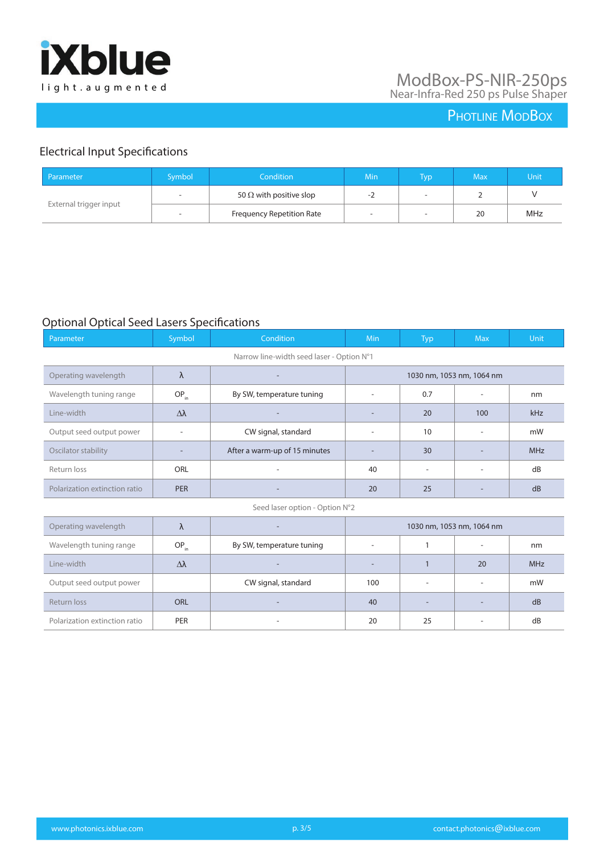

# light.augmented ModBox-PS-NIR-250ps Near-Infra-Red 250 ps Pulse Shaper

# PHOTLINE MODBOX

## Electrical Input Specifications

| Parameter              | Symbol                    | Condition                      | Min                      | <u>ivp</u>               | <b>Max</b> | Unit |
|------------------------|---------------------------|--------------------------------|--------------------------|--------------------------|------------|------|
| External trigger input |                           | 50 $\Omega$ with positive slop | - 1                      | $\overline{\phantom{a}}$ |            |      |
|                        | Frequency Repetition Rate | $\overline{\phantom{0}}$       | $\overline{\phantom{a}}$ | 20                       | MHz        |      |

### Optional Optical Seed Lasers Specifications

| Parameter                                 | Symbol                   | Condition                     | Min                       | Typ                      | <b>Max</b>               | Unit       |
|-------------------------------------------|--------------------------|-------------------------------|---------------------------|--------------------------|--------------------------|------------|
| Narrow line-width seed laser - Option N°1 |                          |                               |                           |                          |                          |            |
| Operating wavelength                      | $\lambda$                |                               | 1030 nm, 1053 nm, 1064 nm |                          |                          |            |
| Wavelength tuning range                   | $OP_{in}$                | By SW, temperature tuning     | $\overline{\phantom{0}}$  | 0.7                      |                          | nm         |
| Line-width                                | Δλ                       |                               |                           | 20                       | 100                      | kHz        |
| Output seed output power                  | $\overline{\phantom{a}}$ | CW signal, standard           | $\overline{a}$            | 10                       | $\overline{\phantom{a}}$ | mW         |
| Oscilator stability                       |                          | After a warm-up of 15 minutes | $\overline{a}$            | 30                       |                          | <b>MHz</b> |
| Return loss                               | ORL                      |                               | 40                        | $\overline{\phantom{a}}$ | $\overline{a}$           | dB         |
| Polarization extinction ratio             | <b>PER</b>               |                               | 20                        | 25                       |                          | dB         |
| Seed laser option - Option N°2            |                          |                               |                           |                          |                          |            |
| Operating wavelength                      | $\lambda$                |                               | 1030 nm, 1053 nm, 1064 nm |                          |                          |            |
| Wavelength tuning range                   | $OP_{in}$                | By SW, temperature tuning     |                           | 1                        | $\overline{\phantom{a}}$ | nm         |
| Line-width                                | Δλ                       |                               |                           | $\mathbf{1}$             | 20                       | <b>MHz</b> |
| Output seed output power                  |                          | CW signal, standard           | 100                       | $\overline{\phantom{a}}$ | $\overline{\phantom{a}}$ | mW         |
| Return loss                               | <b>ORL</b>               |                               | 40                        |                          |                          | dB         |
| Polarization extinction ratio             | <b>PER</b>               |                               | 20                        | 25                       |                          | dB         |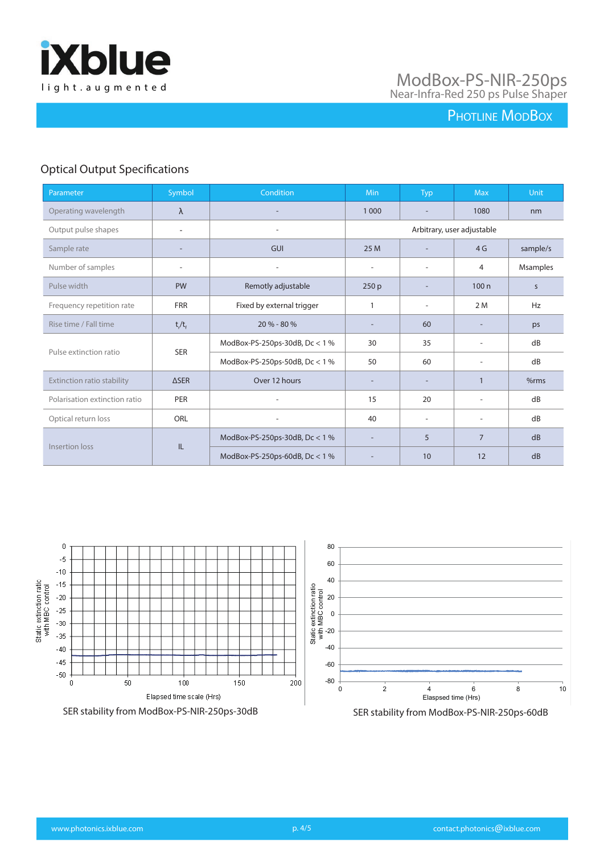

## PHOTLINE MODBOX

## Optical Output Specifications

| Parameter                            | Symbol                         | <b>Condition</b>                 | <b>Min</b>                 | Typ                      | <b>Max</b>               | Unit      |
|--------------------------------------|--------------------------------|----------------------------------|----------------------------|--------------------------|--------------------------|-----------|
| Operating wavelength                 | $\lambda$                      |                                  | 1 0 0 0                    |                          | 1080                     | nm        |
| Output pulse shapes                  | ٠                              | $\overline{\phantom{a}}$         | Arbitrary, user adjustable |                          |                          |           |
| Sample rate                          |                                | <b>GUI</b>                       | 25 M                       |                          | 4 <sub>G</sub>           | sample/s  |
| Number of samples                    | $\overline{\phantom{a}}$       | ٠                                | ٠                          | ÷.                       | 4                        | Msamples  |
| Pulse width                          | <b>PW</b>                      | Remotly adjustable               | 250 p                      |                          | 100n                     | S         |
| Frequency repetition rate            | <b>FRR</b>                     | Fixed by external trigger        |                            | $\overline{\phantom{a}}$ | 2 M                      | <b>Hz</b> |
| Rise time / Fall time                | $t/t_f$                        | 20 % - 80 %                      | ۰                          | 60                       |                          | ps        |
| <b>SER</b><br>Pulse extinction ratio |                                | ModBox-PS-250ps-30dB, $Dc < 1$ % | 30                         | 35                       | $\overline{\phantom{a}}$ | dB        |
|                                      | ModBox-PS-250ps-50dB, Dc < 1 % | 50                               | 60                         | $\overline{\phantom{a}}$ | dB                       |           |
| Extinction ratio stability           | <b>ASER</b>                    | Over 12 hours                    | $\overline{\phantom{a}}$   | $\overline{\phantom{a}}$ |                          | %rms      |
| Polarisation extinction ratio        | <b>PER</b>                     |                                  | 15                         | 20                       |                          | dB        |
| Optical return loss                  | ORL                            | $\overline{\phantom{a}}$         | 40                         | $\overline{\phantom{a}}$ | $\overline{\phantom{a}}$ | dB        |
| Insertion loss                       |                                | ModBox-PS-250ps-30dB, Dc < 1 %   | $\overline{\phantom{a}}$   | 5                        | $\overline{7}$           | dB        |
|                                      | IL                             | ModBox-PS-250ps-60dB, $Dc < 1$ % | $\overline{\phantom{a}}$   | 10                       | 12                       | dB        |